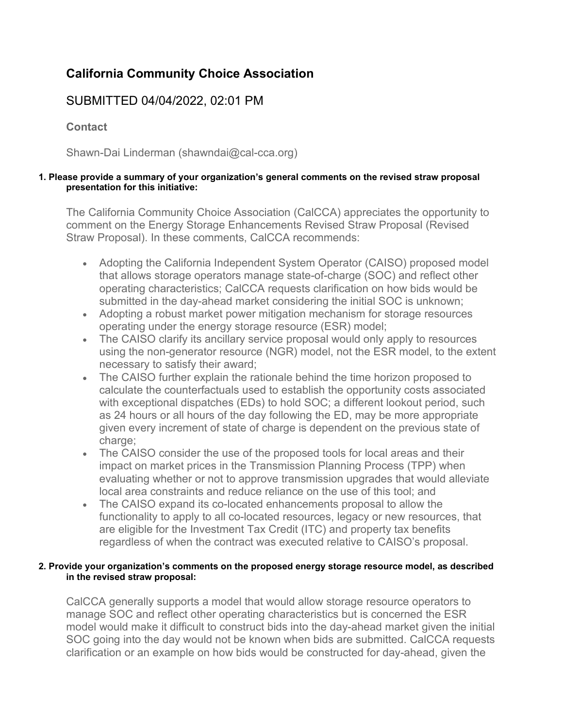# **California Community Choice Association**

# SUBMITTED 04/04/2022, 02:01 PM

**Contact**

Shawn-Dai Linderman (shawndai@cal-cca.org)

#### **1. Please provide a summary of your organization's general comments on the revised straw proposal presentation for this initiative:**

The California Community Choice Association (CalCCA) appreciates the opportunity to comment on the Energy Storage Enhancements Revised Straw Proposal (Revised Straw Proposal). In these comments, CalCCA recommends:

- Adopting the California Independent System Operator (CAISO) proposed model that allows storage operators manage state-of-charge (SOC) and reflect other operating characteristics; CalCCA requests clarification on how bids would be submitted in the day-ahead market considering the initial SOC is unknown;
- Adopting a robust market power mitigation mechanism for storage resources operating under the energy storage resource (ESR) model;
- The CAISO clarify its ancillary service proposal would only apply to resources using the non-generator resource (NGR) model, not the ESR model, to the extent necessary to satisfy their award;
- The CAISO further explain the rationale behind the time horizon proposed to calculate the counterfactuals used to establish the opportunity costs associated with exceptional dispatches (EDs) to hold SOC; a different lookout period, such as 24 hours or all hours of the day following the ED, may be more appropriate given every increment of state of charge is dependent on the previous state of charge;
- The CAISO consider the use of the proposed tools for local areas and their impact on market prices in the Transmission Planning Process (TPP) when evaluating whether or not to approve transmission upgrades that would alleviate local area constraints and reduce reliance on the use of this tool; and
- The CAISO expand its co-located enhancements proposal to allow the functionality to apply to all co-located resources, legacy or new resources, that are eligible for the Investment Tax Credit (ITC) and property tax benefits regardless of when the contract was executed relative to CAISO's proposal.

#### **2. Provide your organization's comments on the proposed energy storage resource model, as described in the revised straw proposal:**

CalCCA generally supports a model that would allow storage resource operators to manage SOC and reflect other operating characteristics but is concerned the ESR model would make it difficult to construct bids into the day-ahead market given the initial SOC going into the day would not be known when bids are submitted. CalCCA requests clarification or an example on how bids would be constructed for day-ahead, given the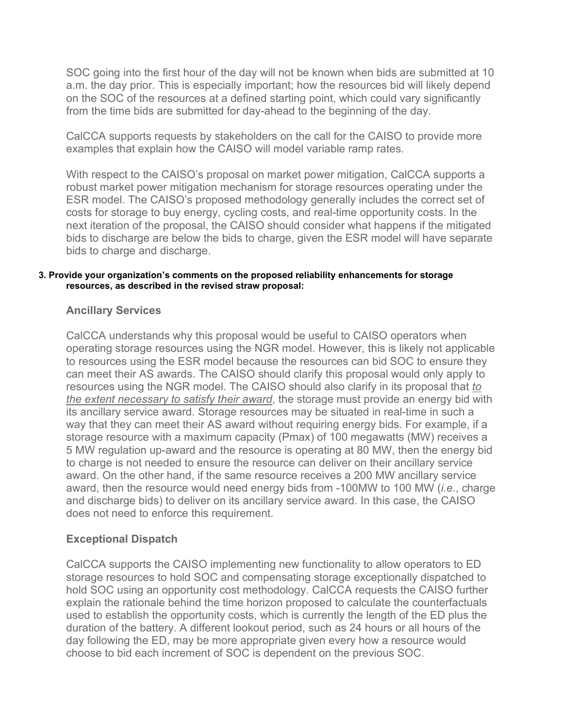SOC going into the first hour of the day will not be known when bids are submitted at 10 a.m. the day prior. This is especially important; how the resources bid will likely depend on the SOC of the resources at a defined starting point, which could vary significantly from the time bids are submitted for day-ahead to the beginning of the day.

CalCCA supports requests by stakeholders on the call for the CAISO to provide more examples that explain how the CAISO will model variable ramp rates.

With respect to the CAISO's proposal on market power mitigation, CalCCA supports a robust market power mitigation mechanism for storage resources operating under the ESR model. The CAISO's proposed methodology generally includes the correct set of costs for storage to buy energy, cycling costs, and real-time opportunity costs. In the next iteration of the proposal, the CAISO should consider what happens if the mitigated bids to discharge are below the bids to charge, given the ESR model will have separate bids to charge and discharge.

#### **3. Provide your organization's comments on the proposed reliability enhancements for storage resources, as described in the revised straw proposal:**

# **Ancillary Services**

CalCCA understands why this proposal would be useful to CAISO operators when operating storage resources using the NGR model. However, this is likely not applicable to resources using the ESR model because the resources can bid SOC to ensure they can meet their AS awards. The CAISO should clarify this proposal would only apply to resources using the NGR model. The CAISO should also clarify in its proposal that *to the extent necessary to satisfy their award*, the storage must provide an energy bid with its ancillary service award. Storage resources may be situated in real-time in such a way that they can meet their AS award without requiring energy bids. For example, if a storage resource with a maximum capacity (Pmax) of 100 megawatts (MW) receives a 5 MW regulation up-award and the resource is operating at 80 MW, then the energy bid to charge is not needed to ensure the resource can deliver on their ancillary service award. On the other hand, if the same resource receives a 200 MW ancillary service award, then the resource would need energy bids from -100MW to 100 MW (*i.e.*, charge and discharge bids) to deliver on its ancillary service award. In this case, the CAISO does not need to enforce this requirement.

# **Exceptional Dispatch**

CalCCA supports the CAISO implementing new functionality to allow operators to ED storage resources to hold SOC and compensating storage exceptionally dispatched to hold SOC using an opportunity cost methodology. CalCCA requests the CAISO further explain the rationale behind the time horizon proposed to calculate the counterfactuals used to establish the opportunity costs, which is currently the length of the ED plus the duration of the battery. A different lookout period, such as 24 hours or all hours of the day following the ED, may be more appropriate given every how a resource would choose to bid each increment of SOC is dependent on the previous SOC.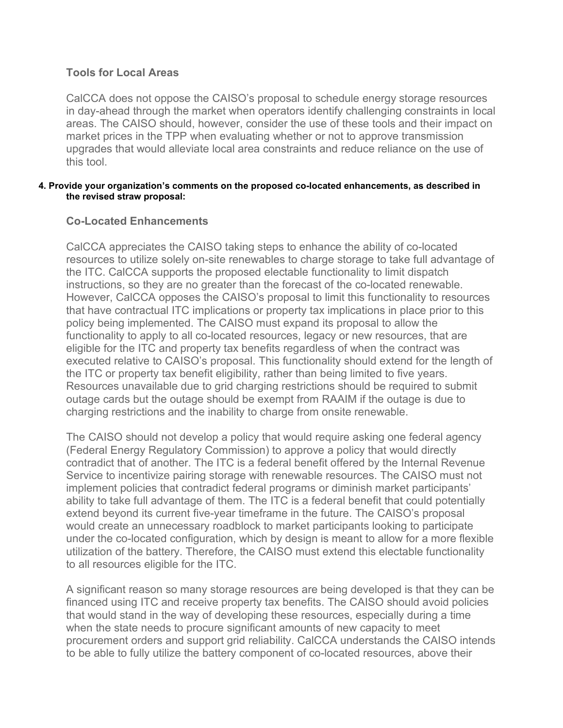## **Tools for Local Areas**

CalCCA does not oppose the CAISO's proposal to schedule energy storage resources in day-ahead through the market when operators identify challenging constraints in local areas. The CAISO should, however, consider the use of these tools and their impact on market prices in the TPP when evaluating whether or not to approve transmission upgrades that would alleviate local area constraints and reduce reliance on the use of this tool.

#### **4. Provide your organization's comments on the proposed co-located enhancements, as described in the revised straw proposal:**

# **Co-Located Enhancements**

CalCCA appreciates the CAISO taking steps to enhance the ability of co-located resources to utilize solely on-site renewables to charge storage to take full advantage of the ITC. CalCCA supports the proposed electable functionality to limit dispatch instructions, so they are no greater than the forecast of the co-located renewable. However, CalCCA opposes the CAISO's proposal to limit this functionality to resources that have contractual ITC implications or property tax implications in place prior to this policy being implemented. The CAISO must expand its proposal to allow the functionality to apply to all co-located resources, legacy or new resources, that are eligible for the ITC and property tax benefits regardless of when the contract was executed relative to CAISO's proposal. This functionality should extend for the length of the ITC or property tax benefit eligibility, rather than being limited to five years. Resources unavailable due to grid charging restrictions should be required to submit outage cards but the outage should be exempt from RAAIM if the outage is due to charging restrictions and the inability to charge from onsite renewable.

The CAISO should not develop a policy that would require asking one federal agency (Federal Energy Regulatory Commission) to approve a policy that would directly contradict that of another. The ITC is a federal benefit offered by the Internal Revenue Service to incentivize pairing storage with renewable resources. The CAISO must not implement policies that contradict federal programs or diminish market participants' ability to take full advantage of them. The ITC is a federal benefit that could potentially extend beyond its current five-year timeframe in the future. The CAISO's proposal would create an unnecessary roadblock to market participants looking to participate under the co-located configuration, which by design is meant to allow for a more flexible utilization of the battery. Therefore, the CAISO must extend this electable functionality to all resources eligible for the ITC.

A significant reason so many storage resources are being developed is that they can be financed using ITC and receive property tax benefits. The CAISO should avoid policies that would stand in the way of developing these resources, especially during a time when the state needs to procure significant amounts of new capacity to meet procurement orders and support grid reliability. CalCCA understands the CAISO intends to be able to fully utilize the battery component of co-located resources, above their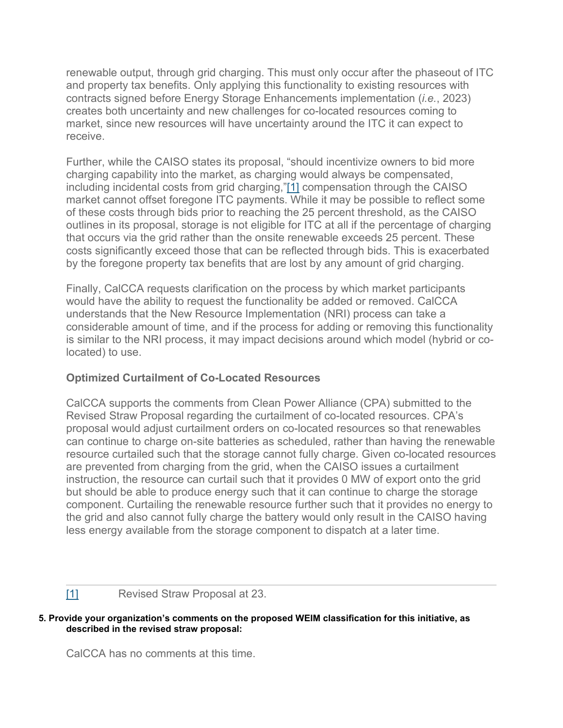renewable output, through grid charging. This must only occur after the phaseout of ITC and property tax benefits. Only applying this functionality to existing resources with contracts signed before Energy Storage Enhancements implementation (*i.e.*, 2023) creates both uncertainty and new challenges for co-located resources coming to market, since new resources will have uncertainty around the ITC it can expect to receive.

Further, while the CAISO states its proposal, "should incentivize owners to bid more charging capability into the market, as charging would always be compensated, including incidental costs from grid charging,["\[1\]](https://stakeholdercenter.caiso.com/Comments/AllComments/bb10ac11-7090-4e45-bca4-06191a4a8adb#_9D983E5D-1EC9-48F5-A867-DF6BB48D2FEDftn1) compensation through the CAISO market cannot offset foregone ITC payments. While it may be possible to reflect some of these costs through bids prior to reaching the 25 percent threshold, as the CAISO outlines in its proposal, storage is not eligible for ITC at all if the percentage of charging that occurs via the grid rather than the onsite renewable exceeds 25 percent. These costs significantly exceed those that can be reflected through bids. This is exacerbated by the foregone property tax benefits that are lost by any amount of grid charging.

Finally, CalCCA requests clarification on the process by which market participants would have the ability to request the functionality be added or removed. CalCCA understands that the New Resource Implementation (NRI) process can take a considerable amount of time, and if the process for adding or removing this functionality is similar to the NRI process, it may impact decisions around which model (hybrid or colocated) to use.

# **Optimized Curtailment of Co-Located Resources**

CalCCA supports the comments from Clean Power Alliance (CPA) submitted to the Revised Straw Proposal regarding the curtailment of co-located resources. CPA's proposal would adjust curtailment orders on co-located resources so that renewables can continue to charge on-site batteries as scheduled, rather than having the renewable resource curtailed such that the storage cannot fully charge. Given co-located resources are prevented from charging from the grid, when the CAISO issues a curtailment instruction, the resource can curtail such that it provides 0 MW of export onto the grid but should be able to produce energy such that it can continue to charge the storage component. Curtailing the renewable resource further such that it provides no energy to the grid and also cannot fully charge the battery would only result in the CAISO having less energy available from the storage component to dispatch at a later time.

[\[1\]](https://stakeholdercenter.caiso.com/Comments/AllComments/bb10ac11-7090-4e45-bca4-06191a4a8adb#_9D983E5D-1EC9-48F5-A867-DF6BB48D2FEDftnref1) Revised Straw Proposal at 23.

#### **5. Provide your organization's comments on the proposed WEIM classification for this initiative, as described in the revised straw proposal:**

CalCCA has no comments at this time.